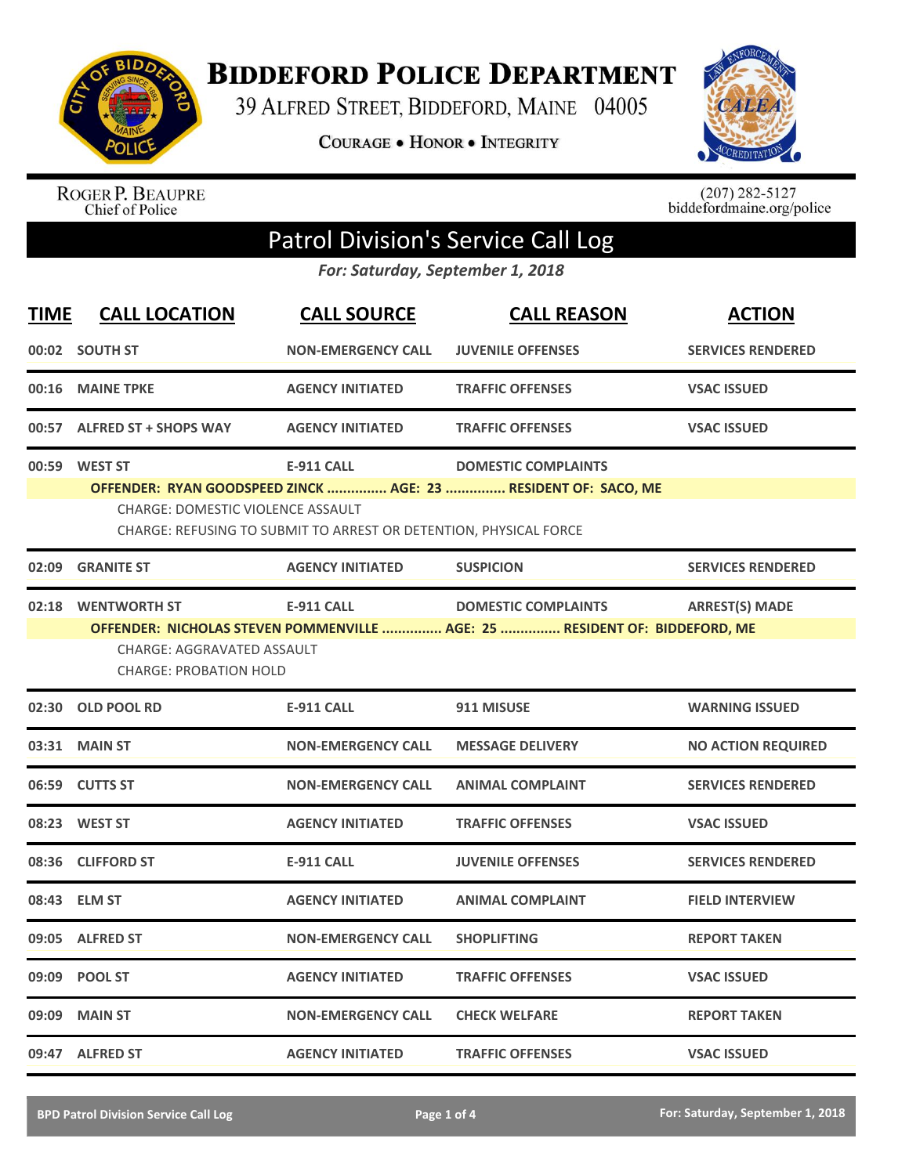

**BIDDEFORD POLICE DEPARTMENT** 

39 ALFRED STREET, BIDDEFORD, MAINE 04005

**COURAGE . HONOR . INTEGRITY** 



ROGER P. BEAUPRE<br>Chief of Police

 $(207)$  282-5127<br>biddefordmaine.org/police

## Patrol Division's Service Call Log

*For: Saturday, September 1, 2018*

| <b>TIME</b> | <b>CALL LOCATION</b>                                                                      | <b>CALL SOURCE</b>                                                                     | <b>CALL REASON</b>                                                                                       | <b>ACTION</b>             |
|-------------|-------------------------------------------------------------------------------------------|----------------------------------------------------------------------------------------|----------------------------------------------------------------------------------------------------------|---------------------------|
|             | 00:02 SOUTH ST                                                                            | <b>NON-EMERGENCY CALL</b>                                                              | <b>JUVENILE OFFENSES</b>                                                                                 | <b>SERVICES RENDERED</b>  |
| 00:16       | <b>MAINE TPKE</b>                                                                         | <b>AGENCY INITIATED</b>                                                                | <b>TRAFFIC OFFENSES</b>                                                                                  | <b>VSAC ISSUED</b>        |
|             | 00:57 ALFRED ST + SHOPS WAY                                                               | <b>AGENCY INITIATED</b>                                                                | <b>TRAFFIC OFFENSES</b>                                                                                  | <b>VSAC ISSUED</b>        |
|             | 00:59 WEST ST<br><b>CHARGE: DOMESTIC VIOLENCE ASSAULT</b>                                 | <b>E-911 CALL</b><br>CHARGE: REFUSING TO SUBMIT TO ARREST OR DETENTION, PHYSICAL FORCE | <b>DOMESTIC COMPLAINTS</b><br>OFFENDER: RYAN GOODSPEED ZINCK  AGE: 23  RESIDENT OF: SACO, ME             |                           |
| 02:09       | <b>GRANITE ST</b>                                                                         | <b>AGENCY INITIATED</b>                                                                | <b>SUSPICION</b>                                                                                         | <b>SERVICES RENDERED</b>  |
| 02:18       | <b>WENTWORTH ST</b><br><b>CHARGE: AGGRAVATED ASSAULT</b><br><b>CHARGE: PROBATION HOLD</b> | <b>E-911 CALL</b>                                                                      | <b>DOMESTIC COMPLAINTS</b><br>OFFENDER: NICHOLAS STEVEN POMMENVILLE  AGE: 25  RESIDENT OF: BIDDEFORD, ME | <b>ARREST(S) MADE</b>     |
|             | 02:30 OLD POOL RD                                                                         | <b>E-911 CALL</b>                                                                      | 911 MISUSE                                                                                               | <b>WARNING ISSUED</b>     |
|             | 03:31 MAIN ST                                                                             | <b>NON-EMERGENCY CALL</b>                                                              | <b>MESSAGE DELIVERY</b>                                                                                  | <b>NO ACTION REQUIRED</b> |
|             | 06:59 CUTTS ST                                                                            | <b>NON-EMERGENCY CALL</b>                                                              | <b>ANIMAL COMPLAINT</b>                                                                                  | <b>SERVICES RENDERED</b>  |
|             | 08:23 WEST ST                                                                             | <b>AGENCY INITIATED</b>                                                                | <b>TRAFFIC OFFENSES</b>                                                                                  | <b>VSAC ISSUED</b>        |
| 08:36       | <b>CLIFFORD ST</b>                                                                        | <b>E-911 CALL</b>                                                                      | <b>JUVENILE OFFENSES</b>                                                                                 | <b>SERVICES RENDERED</b>  |
| 08:43       | <b>ELM ST</b>                                                                             | <b>AGENCY INITIATED</b>                                                                | <b>ANIMAL COMPLAINT</b>                                                                                  | <b>FIELD INTERVIEW</b>    |
|             | 09:05 ALFRED ST                                                                           | <b>NON-EMERGENCY CALL</b>                                                              | <b>SHOPLIFTING</b>                                                                                       | <b>REPORT TAKEN</b>       |
| 09:09       | <b>POOL ST</b>                                                                            | <b>AGENCY INITIATED</b>                                                                | <b>TRAFFIC OFFENSES</b>                                                                                  | <b>VSAC ISSUED</b>        |
| 09:09       | <b>MAIN ST</b>                                                                            | <b>NON-EMERGENCY CALL</b>                                                              | <b>CHECK WELFARE</b>                                                                                     | <b>REPORT TAKEN</b>       |
|             | 09:47 ALFRED ST                                                                           | <b>AGENCY INITIATED</b>                                                                | <b>TRAFFIC OFFENSES</b>                                                                                  | <b>VSAC ISSUED</b>        |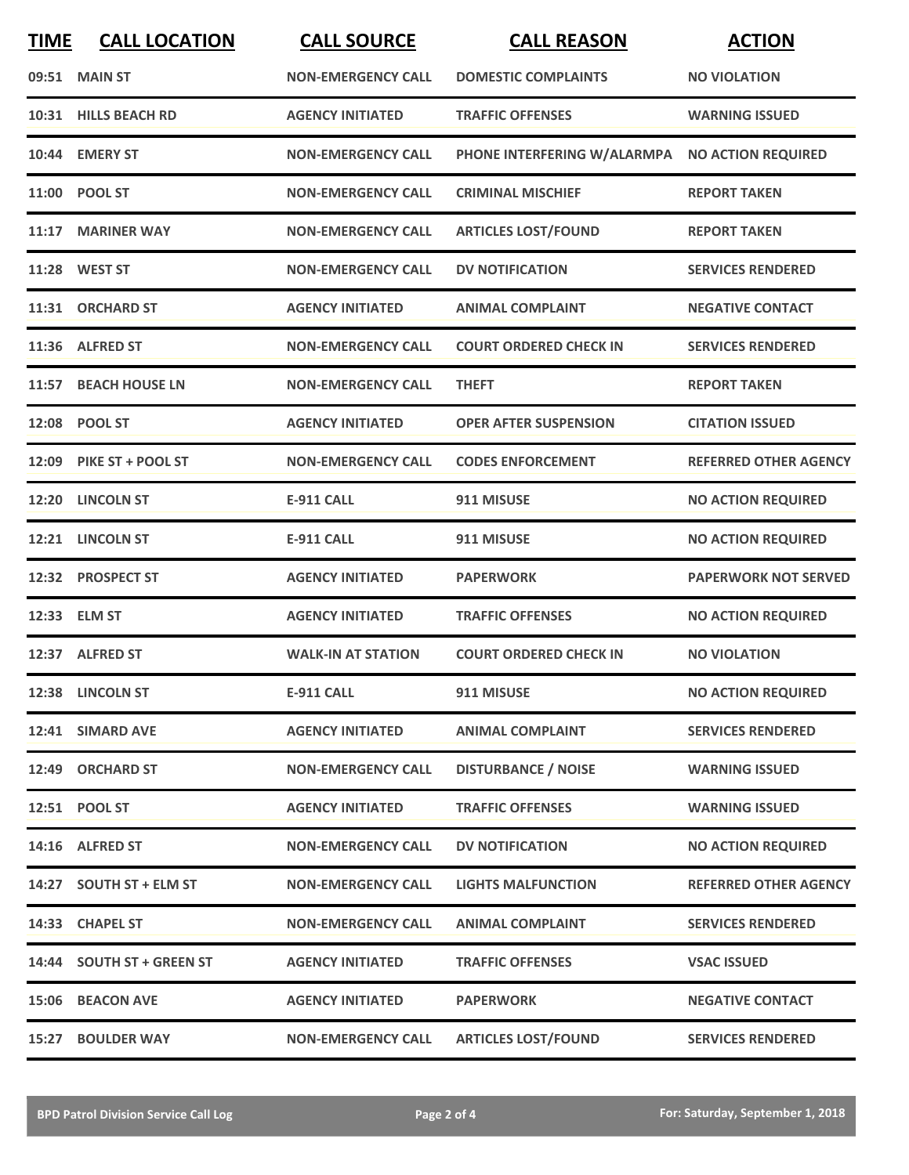| <b>TIME</b> | <b>CALL LOCATION</b>      | <b>CALL SOURCE</b>        | <b>CALL REASON</b>                             | <b>ACTION</b>                |
|-------------|---------------------------|---------------------------|------------------------------------------------|------------------------------|
|             | 09:51 MAIN ST             | <b>NON-EMERGENCY CALL</b> | <b>DOMESTIC COMPLAINTS</b>                     | <b>NO VIOLATION</b>          |
|             | 10:31 HILLS BEACH RD      | <b>AGENCY INITIATED</b>   | <b>TRAFFIC OFFENSES</b>                        | <b>WARNING ISSUED</b>        |
|             | 10:44 EMERY ST            | <b>NON-EMERGENCY CALL</b> | PHONE INTERFERING W/ALARMPA NO ACTION REQUIRED |                              |
| 11:00       | <b>POOL ST</b>            | <b>NON-EMERGENCY CALL</b> | <b>CRIMINAL MISCHIEF</b>                       | <b>REPORT TAKEN</b>          |
|             | 11:17 MARINER WAY         | <b>NON-EMERGENCY CALL</b> | <b>ARTICLES LOST/FOUND</b>                     | <b>REPORT TAKEN</b>          |
|             | 11:28 WEST ST             | <b>NON-EMERGENCY CALL</b> | <b>DV NOTIFICATION</b>                         | <b>SERVICES RENDERED</b>     |
|             | 11:31 ORCHARD ST          | <b>AGENCY INITIATED</b>   | <b>ANIMAL COMPLAINT</b>                        | <b>NEGATIVE CONTACT</b>      |
|             | 11:36 ALFRED ST           | <b>NON-EMERGENCY CALL</b> | <b>COURT ORDERED CHECK IN</b>                  | <b>SERVICES RENDERED</b>     |
| 11:57       | <b>BEACH HOUSE LN</b>     | <b>NON-EMERGENCY CALL</b> | <b>THEFT</b>                                   | <b>REPORT TAKEN</b>          |
| 12:08       | <b>POOL ST</b>            | <b>AGENCY INITIATED</b>   | <b>OPER AFTER SUSPENSION</b>                   | <b>CITATION ISSUED</b>       |
|             | 12:09 PIKE ST + POOL ST   | <b>NON-EMERGENCY CALL</b> | <b>CODES ENFORCEMENT</b>                       | <b>REFERRED OTHER AGENCY</b> |
| 12:20       | <b>LINCOLN ST</b>         | <b>E-911 CALL</b>         | 911 MISUSE                                     | <b>NO ACTION REQUIRED</b>    |
| 12:21       | <b>LINCOLN ST</b>         | <b>E-911 CALL</b>         | 911 MISUSE                                     | <b>NO ACTION REQUIRED</b>    |
|             | 12:32 PROSPECT ST         | <b>AGENCY INITIATED</b>   | <b>PAPERWORK</b>                               | <b>PAPERWORK NOT SERVED</b>  |
|             | 12:33 ELM ST              | <b>AGENCY INITIATED</b>   | <b>TRAFFIC OFFENSES</b>                        | <b>NO ACTION REQUIRED</b>    |
|             | 12:37 ALFRED ST           | <b>WALK-IN AT STATION</b> | <b>COURT ORDERED CHECK IN</b>                  | <b>NO VIOLATION</b>          |
|             | 12:38 LINCOLN ST          | <b>E-911 CALL</b>         | 911 MISUSE                                     | <b>NO ACTION REQUIRED</b>    |
|             | 12:41 SIMARD AVE          | <b>AGENCY INITIATED</b>   | <b>ANIMAL COMPLAINT</b>                        | <b>SERVICES RENDERED</b>     |
|             | 12:49 ORCHARD ST          | <b>NON-EMERGENCY CALL</b> | <b>DISTURBANCE / NOISE</b>                     | <b>WARNING ISSUED</b>        |
|             | 12:51 POOL ST             | <b>AGENCY INITIATED</b>   | <b>TRAFFIC OFFENSES</b>                        | <b>WARNING ISSUED</b>        |
|             | 14:16 ALFRED ST           | <b>NON-EMERGENCY CALL</b> | <b>DV NOTIFICATION</b>                         | <b>NO ACTION REQUIRED</b>    |
|             | 14:27 SOUTH ST + ELM ST   | <b>NON-EMERGENCY CALL</b> | <b>LIGHTS MALFUNCTION</b>                      | <b>REFERRED OTHER AGENCY</b> |
|             | 14:33 CHAPEL ST           | <b>NON-EMERGENCY CALL</b> | <b>ANIMAL COMPLAINT</b>                        | <b>SERVICES RENDERED</b>     |
|             | 14:44 SOUTH ST + GREEN ST | <b>AGENCY INITIATED</b>   | <b>TRAFFIC OFFENSES</b>                        | <b>VSAC ISSUED</b>           |
|             | 15:06 BEACON AVE          | <b>AGENCY INITIATED</b>   | <b>PAPERWORK</b>                               | <b>NEGATIVE CONTACT</b>      |
|             | 15:27 BOULDER WAY         | <b>NON-EMERGENCY CALL</b> | <b>ARTICLES LOST/FOUND</b>                     | <b>SERVICES RENDERED</b>     |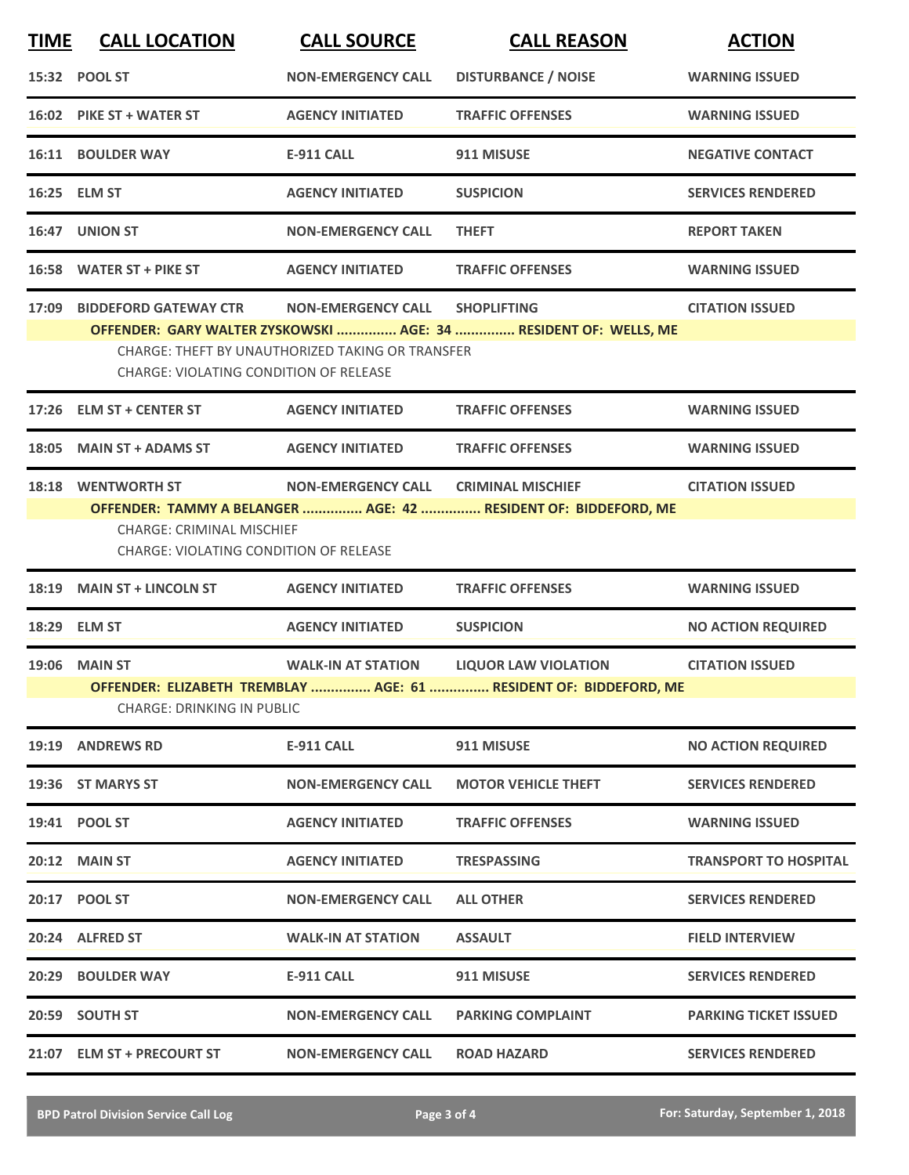| <b>DISTURBANCE / NOISE</b><br>15:32 POOL ST<br><b>NON-EMERGENCY CALL</b><br><b>WARNING ISSUED</b><br>16:02 PIKE ST + WATER ST<br><b>AGENCY INITIATED</b><br><b>TRAFFIC OFFENSES</b><br><b>WARNING ISSUED</b><br>16:11 BOULDER WAY<br><b>E-911 CALL</b><br>911 MISUSE<br>16:25 ELM ST<br><b>AGENCY INITIATED</b><br><b>SUSPICION</b><br>16:47 UNION ST<br><b>NON-EMERGENCY CALL</b><br><b>THEFT</b><br><b>REPORT TAKEN</b><br>16:58 WATER ST + PIKE ST<br><b>TRAFFIC OFFENSES</b><br><b>AGENCY INITIATED</b><br><b>WARNING ISSUED</b><br>17:09 BIDDEFORD GATEWAY CTR<br><b>NON-EMERGENCY CALL</b><br><b>SHOPLIFTING</b><br><b>CITATION ISSUED</b><br>OFFENDER: GARY WALTER ZYSKOWSKI  AGE: 34  RESIDENT OF: WELLS, ME<br>CHARGE: THEFT BY UNAUTHORIZED TAKING OR TRANSFER<br>CHARGE: VIOLATING CONDITION OF RELEASE<br>17:26 ELM ST + CENTER ST<br><b>AGENCY INITIATED</b><br><b>TRAFFIC OFFENSES</b><br><b>WARNING ISSUED</b><br>18:05 MAIN ST + ADAMS ST<br><b>AGENCY INITIATED</b><br><b>TRAFFIC OFFENSES</b><br><b>WARNING ISSUED</b><br>18:18 WENTWORTH ST<br>NON-EMERGENCY CALL CRIMINAL MISCHIEF<br><b>CITATION ISSUED</b><br>OFFENDER: TAMMY A BELANGER  AGE: 42  RESIDENT OF: BIDDEFORD, ME<br><b>CHARGE: CRIMINAL MISCHIEF</b><br><b>CHARGE: VIOLATING CONDITION OF RELEASE</b><br>18:19 MAIN ST + LINCOLN ST<br><b>TRAFFIC OFFENSES</b><br><b>AGENCY INITIATED</b><br><b>WARNING ISSUED</b><br><b>AGENCY INITIATED</b><br><b>SUSPICION</b><br>18:29 ELM ST<br><b>19:06 MAIN ST</b><br><b>WALK-IN AT STATION</b><br><b>LIQUOR LAW VIOLATION</b><br><b>CITATION ISSUED</b><br>OFFENDER: ELIZABETH TREMBLAY  AGE: 61  RESIDENT OF: BIDDEFORD, ME<br><b>CHARGE: DRINKING IN PUBLIC</b><br>19:19 ANDREWS RD<br><b>E-911 CALL</b><br>911 MISUSE<br>19:36 ST MARYS ST<br><b>NON-EMERGENCY CALL</b><br><b>MOTOR VEHICLE THEFT</b><br>19:41 POOL ST<br><b>AGENCY INITIATED</b><br><b>TRAFFIC OFFENSES</b><br><b>WARNING ISSUED</b><br><b>20:12 MAIN ST</b><br><b>AGENCY INITIATED</b><br><b>TRESPASSING</b><br>20:17 POOL ST<br><b>NON-EMERGENCY CALL</b><br><b>ALL OTHER</b><br>20:24 ALFRED ST<br><b>WALK-IN AT STATION</b><br><b>ASSAULT</b><br><b>FIELD INTERVIEW</b><br><b>BOULDER WAY</b><br>911 MISUSE<br>20:29<br><b>E-911 CALL</b><br>20:59 SOUTH ST<br><b>NON-EMERGENCY CALL</b><br><b>PARKING COMPLAINT</b> | <b>TIME</b> | <b>CALL LOCATION</b>       | <b>CALL SOURCE</b>        | <b>CALL REASON</b> | <b>ACTION</b>                |
|-------------------------------------------------------------------------------------------------------------------------------------------------------------------------------------------------------------------------------------------------------------------------------------------------------------------------------------------------------------------------------------------------------------------------------------------------------------------------------------------------------------------------------------------------------------------------------------------------------------------------------------------------------------------------------------------------------------------------------------------------------------------------------------------------------------------------------------------------------------------------------------------------------------------------------------------------------------------------------------------------------------------------------------------------------------------------------------------------------------------------------------------------------------------------------------------------------------------------------------------------------------------------------------------------------------------------------------------------------------------------------------------------------------------------------------------------------------------------------------------------------------------------------------------------------------------------------------------------------------------------------------------------------------------------------------------------------------------------------------------------------------------------------------------------------------------------------------------------------------------------------------------------------------------------------------------------------------------------------------------------------------------------------------------------------------------------------------------------------------------------------------------------------------------------------------------------------------------------------------------------------------------------------------------------------------------------|-------------|----------------------------|---------------------------|--------------------|------------------------------|
|                                                                                                                                                                                                                                                                                                                                                                                                                                                                                                                                                                                                                                                                                                                                                                                                                                                                                                                                                                                                                                                                                                                                                                                                                                                                                                                                                                                                                                                                                                                                                                                                                                                                                                                                                                                                                                                                                                                                                                                                                                                                                                                                                                                                                                                                                                                         |             |                            |                           |                    |                              |
|                                                                                                                                                                                                                                                                                                                                                                                                                                                                                                                                                                                                                                                                                                                                                                                                                                                                                                                                                                                                                                                                                                                                                                                                                                                                                                                                                                                                                                                                                                                                                                                                                                                                                                                                                                                                                                                                                                                                                                                                                                                                                                                                                                                                                                                                                                                         |             |                            |                           |                    |                              |
|                                                                                                                                                                                                                                                                                                                                                                                                                                                                                                                                                                                                                                                                                                                                                                                                                                                                                                                                                                                                                                                                                                                                                                                                                                                                                                                                                                                                                                                                                                                                                                                                                                                                                                                                                                                                                                                                                                                                                                                                                                                                                                                                                                                                                                                                                                                         |             |                            |                           |                    | <b>NEGATIVE CONTACT</b>      |
|                                                                                                                                                                                                                                                                                                                                                                                                                                                                                                                                                                                                                                                                                                                                                                                                                                                                                                                                                                                                                                                                                                                                                                                                                                                                                                                                                                                                                                                                                                                                                                                                                                                                                                                                                                                                                                                                                                                                                                                                                                                                                                                                                                                                                                                                                                                         |             |                            |                           |                    | <b>SERVICES RENDERED</b>     |
|                                                                                                                                                                                                                                                                                                                                                                                                                                                                                                                                                                                                                                                                                                                                                                                                                                                                                                                                                                                                                                                                                                                                                                                                                                                                                                                                                                                                                                                                                                                                                                                                                                                                                                                                                                                                                                                                                                                                                                                                                                                                                                                                                                                                                                                                                                                         |             |                            |                           |                    |                              |
|                                                                                                                                                                                                                                                                                                                                                                                                                                                                                                                                                                                                                                                                                                                                                                                                                                                                                                                                                                                                                                                                                                                                                                                                                                                                                                                                                                                                                                                                                                                                                                                                                                                                                                                                                                                                                                                                                                                                                                                                                                                                                                                                                                                                                                                                                                                         |             |                            |                           |                    |                              |
|                                                                                                                                                                                                                                                                                                                                                                                                                                                                                                                                                                                                                                                                                                                                                                                                                                                                                                                                                                                                                                                                                                                                                                                                                                                                                                                                                                                                                                                                                                                                                                                                                                                                                                                                                                                                                                                                                                                                                                                                                                                                                                                                                                                                                                                                                                                         |             |                            |                           |                    |                              |
|                                                                                                                                                                                                                                                                                                                                                                                                                                                                                                                                                                                                                                                                                                                                                                                                                                                                                                                                                                                                                                                                                                                                                                                                                                                                                                                                                                                                                                                                                                                                                                                                                                                                                                                                                                                                                                                                                                                                                                                                                                                                                                                                                                                                                                                                                                                         |             |                            |                           |                    |                              |
|                                                                                                                                                                                                                                                                                                                                                                                                                                                                                                                                                                                                                                                                                                                                                                                                                                                                                                                                                                                                                                                                                                                                                                                                                                                                                                                                                                                                                                                                                                                                                                                                                                                                                                                                                                                                                                                                                                                                                                                                                                                                                                                                                                                                                                                                                                                         |             |                            |                           |                    |                              |
|                                                                                                                                                                                                                                                                                                                                                                                                                                                                                                                                                                                                                                                                                                                                                                                                                                                                                                                                                                                                                                                                                                                                                                                                                                                                                                                                                                                                                                                                                                                                                                                                                                                                                                                                                                                                                                                                                                                                                                                                                                                                                                                                                                                                                                                                                                                         |             |                            |                           |                    |                              |
|                                                                                                                                                                                                                                                                                                                                                                                                                                                                                                                                                                                                                                                                                                                                                                                                                                                                                                                                                                                                                                                                                                                                                                                                                                                                                                                                                                                                                                                                                                                                                                                                                                                                                                                                                                                                                                                                                                                                                                                                                                                                                                                                                                                                                                                                                                                         |             |                            |                           |                    |                              |
|                                                                                                                                                                                                                                                                                                                                                                                                                                                                                                                                                                                                                                                                                                                                                                                                                                                                                                                                                                                                                                                                                                                                                                                                                                                                                                                                                                                                                                                                                                                                                                                                                                                                                                                                                                                                                                                                                                                                                                                                                                                                                                                                                                                                                                                                                                                         |             |                            |                           |                    | <b>NO ACTION REQUIRED</b>    |
|                                                                                                                                                                                                                                                                                                                                                                                                                                                                                                                                                                                                                                                                                                                                                                                                                                                                                                                                                                                                                                                                                                                                                                                                                                                                                                                                                                                                                                                                                                                                                                                                                                                                                                                                                                                                                                                                                                                                                                                                                                                                                                                                                                                                                                                                                                                         |             |                            |                           |                    |                              |
|                                                                                                                                                                                                                                                                                                                                                                                                                                                                                                                                                                                                                                                                                                                                                                                                                                                                                                                                                                                                                                                                                                                                                                                                                                                                                                                                                                                                                                                                                                                                                                                                                                                                                                                                                                                                                                                                                                                                                                                                                                                                                                                                                                                                                                                                                                                         |             |                            |                           |                    | <b>NO ACTION REQUIRED</b>    |
|                                                                                                                                                                                                                                                                                                                                                                                                                                                                                                                                                                                                                                                                                                                                                                                                                                                                                                                                                                                                                                                                                                                                                                                                                                                                                                                                                                                                                                                                                                                                                                                                                                                                                                                                                                                                                                                                                                                                                                                                                                                                                                                                                                                                                                                                                                                         |             |                            |                           |                    | <b>SERVICES RENDERED</b>     |
|                                                                                                                                                                                                                                                                                                                                                                                                                                                                                                                                                                                                                                                                                                                                                                                                                                                                                                                                                                                                                                                                                                                                                                                                                                                                                                                                                                                                                                                                                                                                                                                                                                                                                                                                                                                                                                                                                                                                                                                                                                                                                                                                                                                                                                                                                                                         |             |                            |                           |                    |                              |
|                                                                                                                                                                                                                                                                                                                                                                                                                                                                                                                                                                                                                                                                                                                                                                                                                                                                                                                                                                                                                                                                                                                                                                                                                                                                                                                                                                                                                                                                                                                                                                                                                                                                                                                                                                                                                                                                                                                                                                                                                                                                                                                                                                                                                                                                                                                         |             |                            |                           |                    | <b>TRANSPORT TO HOSPITAL</b> |
|                                                                                                                                                                                                                                                                                                                                                                                                                                                                                                                                                                                                                                                                                                                                                                                                                                                                                                                                                                                                                                                                                                                                                                                                                                                                                                                                                                                                                                                                                                                                                                                                                                                                                                                                                                                                                                                                                                                                                                                                                                                                                                                                                                                                                                                                                                                         |             |                            |                           |                    | <b>SERVICES RENDERED</b>     |
|                                                                                                                                                                                                                                                                                                                                                                                                                                                                                                                                                                                                                                                                                                                                                                                                                                                                                                                                                                                                                                                                                                                                                                                                                                                                                                                                                                                                                                                                                                                                                                                                                                                                                                                                                                                                                                                                                                                                                                                                                                                                                                                                                                                                                                                                                                                         |             |                            |                           |                    |                              |
|                                                                                                                                                                                                                                                                                                                                                                                                                                                                                                                                                                                                                                                                                                                                                                                                                                                                                                                                                                                                                                                                                                                                                                                                                                                                                                                                                                                                                                                                                                                                                                                                                                                                                                                                                                                                                                                                                                                                                                                                                                                                                                                                                                                                                                                                                                                         |             |                            |                           |                    | <b>SERVICES RENDERED</b>     |
|                                                                                                                                                                                                                                                                                                                                                                                                                                                                                                                                                                                                                                                                                                                                                                                                                                                                                                                                                                                                                                                                                                                                                                                                                                                                                                                                                                                                                                                                                                                                                                                                                                                                                                                                                                                                                                                                                                                                                                                                                                                                                                                                                                                                                                                                                                                         |             |                            |                           |                    | <b>PARKING TICKET ISSUED</b> |
|                                                                                                                                                                                                                                                                                                                                                                                                                                                                                                                                                                                                                                                                                                                                                                                                                                                                                                                                                                                                                                                                                                                                                                                                                                                                                                                                                                                                                                                                                                                                                                                                                                                                                                                                                                                                                                                                                                                                                                                                                                                                                                                                                                                                                                                                                                                         |             | 21:07 ELM ST + PRECOURT ST | <b>NON-EMERGENCY CALL</b> | <b>ROAD HAZARD</b> | <b>SERVICES RENDERED</b>     |